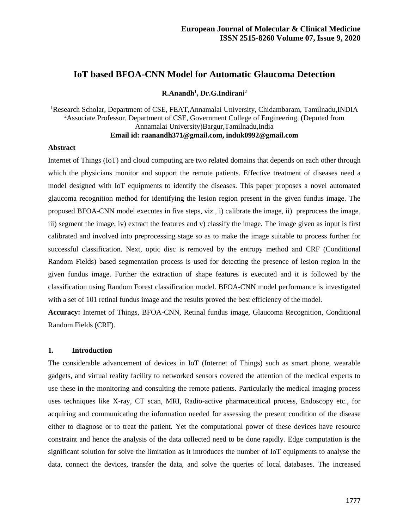# **IoT based BFOA-CNN Model for Automatic Glaucoma Detection**

**R.Anandh<sup>1</sup> , Dr.G.Indirani<sup>2</sup>**

<sup>1</sup>Research Scholar, Department of CSE, FEAT, Annamalai University, Chidambaram, Tamilnadu, INDIA <sup>2</sup>Associate Professor, Department of CSE, Government College of Engineering, (Deputed from Annamalai University)Bargur,Tamilnadu,India **Email id: raanandh371@gmail.com, induk0992@gmail.com**

#### **Abstract**

Internet of Things (IoT) and cloud computing are two related domains that depends on each other through which the physicians monitor and support the remote patients. Effective treatment of diseases need a model designed with IoT equipments to identify the diseases. This paper proposes a novel automated glaucoma recognition method for identifying the lesion region present in the given fundus image. The proposed BFOA-CNN model executes in five steps, viz., i) calibrate the image, ii) preprocess the image, iii) segment the image, iv) extract the features and v) classify the image. The image given as input is first calibrated and involved into preprocessing stage so as to make the image suitable to process further for successful classification. Next, optic disc is removed by the entropy method and CRF (Conditional Random Fields) based segmentation process is used for detecting the presence of lesion region in the given fundus image. Further the extraction of shape features is executed and it is followed by the classification using Random Forest classification model. BFOA-CNN model performance is investigated with a set of 101 retinal fundus image and the results proved the best efficiency of the model.

**Accuracy:** Internet of Things, BFOA-CNN, Retinal fundus image, Glaucoma Recognition, Conditional Random Fields (CRF).

### **1. Introduction**

The considerable advancement of devices in IoT (Internet of Things) such as smart phone, wearable gadgets, and virtual reality facility to networked sensors covered the attention of the medical experts to use these in the monitoring and consulting the remote patients. Particularly the medical imaging process uses techniques like X-ray, CT scan, MRI, Radio-active pharmaceutical process, Endoscopy etc., for acquiring and communicating the information needed for assessing the present condition of the disease either to diagnose or to treat the patient. Yet the computational power of these devices have resource constraint and hence the analysis of the data collected need to be done rapidly. Edge computation is the significant solution for solve the limitation as it introduces the number of IoT equipments to analyse the data, connect the devices, transfer the data, and solve the queries of local databases. The increased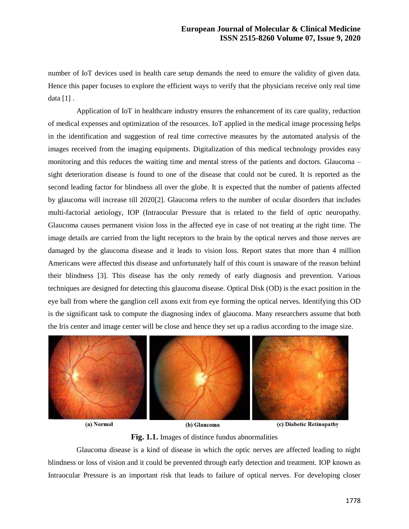number of IoT devices used in health care setup demands the need to ensure the validity of given data. Hence this paper focuses to explore the efficient ways to verify that the physicians receive only real time data [1] .

Application of IoT in healthcare industry ensures the enhancement of its care quality, reduction of medical expenses and optimization of the resources. IoT applied in the medical image processing helps in the identification and suggestion of real time corrective measures by the automated analysis of the images received from the imaging equipments. Digitalization of this medical technology provides easy monitoring and this reduces the waiting time and mental stress of the patients and doctors. Glaucoma – sight deterioration disease is found to one of the disease that could not be cured. It is reported as the second leading factor for blindness all over the globe. It is expected that the number of patients affected by glaucoma will increase till 2020[2]. Glaucoma refers to the number of ocular disorders that includes multi-factorial aetiology, IOP (Intraocular Pressure that is related to the field of optic neuropathy. Glaucoma causes permanent vision loss in the affected eye in case of not treating at the right time. The image details are carried from the light receptors to the brain by the optical nerves and those nerves are damaged by the glaucoma disease and it leads to vision loss. Report states that more than 4 million Americans were affected this disease and unfortunately half of this count is unaware of the reason behind their blindness [3]. This disease has the only remedy of early diagnosis and prevention. Various techniques are designed for detecting this glaucoma disease. Optical Disk (OD) is the exact position in the eye ball from where the ganglion cell axons exit from eye forming the optical nerves. Identifying this OD is the significant task to compute the diagnosing index of glaucoma. Many researchers assume that both the Iris center and image center will be close and hence they set up a radius according to the image size.



(a) Normal

(b) Glaucoma

(c) Diabetic Retinopathy

**Fig. 1.1.** Images of distince fundus abnormalities

Glaucoma disease is a kind of disease in which the optic nerves are affected leading to night blindness or loss of vision and it could be prevented through early detection and treatment. IOP known as Intraocular Pressure is an important risk that leads to failure of optical nerves. For developing closer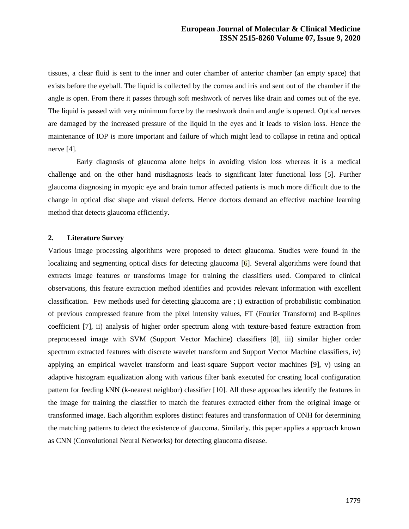tissues, a clear fluid is sent to the inner and outer chamber of anterior chamber (an empty space) that exists before the eyeball. The liquid is collected by the cornea and iris and sent out of the chamber if the angle is open. From there it passes through soft meshwork of nerves like drain and comes out of the eye. The liquid is passed with very minimum force by the meshwork drain and angle is opened. Optical nerves are damaged by the increased pressure of the liquid in the eyes and it leads to vision loss. Hence the maintenance of IOP is more important and failure of which might lead to collapse in retina and optical nerve [4].

Early diagnosis of glaucoma alone helps in avoiding vision loss whereas it is a medical challenge and on the other hand misdiagnosis leads to significant later functional loss [5]. Further glaucoma diagnosing in myopic eye and brain tumor affected patients is much more difficult due to the change in optical disc shape and visual defects. Hence doctors demand an effective machine learning method that detects glaucoma efficiently.

### **2. Literature Survey**

Various image processing algorithms were proposed to detect glaucoma. Studies were found in the localizing and segmenting optical discs for detecting glaucoma [6]. Several algorithms were found that extracts image features or transforms image for training the classifiers used. Compared to clinical observations, this feature extraction method identifies and provides relevant information with excellent classification. Few methods used for detecting glaucoma are ; i) extraction of probabilistic combination of previous compressed feature from the pixel intensity values, FT (Fourier Transform) and B-splines coefficient [7], ii) analysis of higher order spectrum along with texture-based feature extraction from preprocessed image with SVM (Support Vector Machine) classifiers [8], iii) similar higher order spectrum extracted features with discrete wavelet transform and Support Vector Machine classifiers, iv) applying an empirical wavelet transform and least-square Support vector machines [9], v) using an adaptive histogram equalization along with various filter bank executed for creating local configuration pattern for feeding kNN (k-nearest neighbor) classifier [10]. All these approaches identify the features in the image for training the classifier to match the features extracted either from the original image or transformed image. Each algorithm explores distinct features and transformation of ONH for determining the matching patterns to detect the existence of glaucoma. Similarly, this paper applies a approach known as CNN (Convolutional Neural Networks) for detecting glaucoma disease.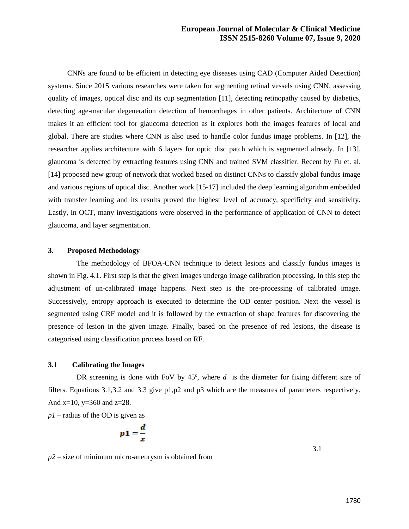CNNs are found to be efficient in detecting eye diseases using CAD (Computer Aided Detection) systems. Since 2015 various researches were taken for segmenting retinal vessels using CNN, assessing quality of images, optical disc and its cup segmentation [11], detecting retinopathy caused by diabetics, detecting age-macular degeneration detection of hemorrhages in other patients. Architecture of CNN makes it an efficient tool for glaucoma detection as it explores both the images features of local and global. There are studies where CNN is also used to handle color fundus image problems. In [12], the researcher applies architecture with 6 layers for optic disc patch which is segmented already. In [13], glaucoma is detected by extracting features using CNN and trained SVM classifier. Recent by Fu et. al. [14] proposed new group of network that worked based on distinct CNNs to classify global fundus image and various regions of optical disc. Another work [15-17] included the deep learning algorithm embedded with transfer learning and its results proved the highest level of accuracy, specificity and sensitivity. Lastly, in OCT, many investigations were observed in the performance of application of CNN to detect glaucoma, and layer segmentation.

## **3. Proposed Methodology**

The methodology of BFOA-CNN technique to detect lesions and classify fundus images is shown in Fig. 4.1. First step is that the given images undergo image calibration processing. In this step the adjustment of un-calibrated image happens. Next step is the pre-processing of calibrated image. Successively, entropy approach is executed to determine the OD center position. Next the vessel is segmented using CRF model and it is followed by the extraction of shape features for discovering the presence of lesion in the given image. Finally, based on the presence of red lesions, the disease is categorised using classification process based on RF.

## **3.1 Calibrating the Images**

DR screening is done with FoV by  $45^\circ$ , where  $d$  is the diameter for fixing different size of filters. Equations 3.1,3.2 and 3.3 give p1,p2 and p3 which are the measures of parameters respectively. And  $x=10$ ,  $y=360$  and  $z=28$ .

*p1* – radius of the OD is given as

$$
1=\frac{d}{x}
$$

*p2* – size of minimum micro-aneurysm is obtained from

 $\boldsymbol{p}$ 

3.1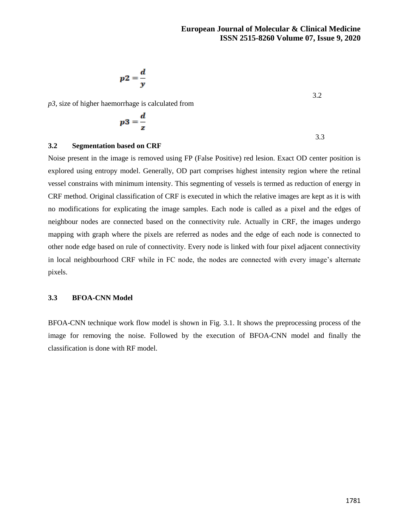3.2

$$
p2=\frac{d}{v}
$$

*p3*, size of higher haemorrhage is calculated from

$$
p3 = \frac{d}{z}
$$

## **3.2 Segmentation based on CRF**

Noise present in the image is removed using FP (False Positive) red lesion. Exact OD center position is explored using entropy model. Generally, OD part comprises highest intensity region where the retinal vessel constrains with minimum intensity. This segmenting of vessels is termed as reduction of energy in CRF method. Original classification of CRF is executed in which the relative images are kept as it is with no modifications for explicating the image samples. Each node is called as a pixel and the edges of neighbour nodes are connected based on the connectivity rule. Actually in CRF, the images undergo mapping with graph where the pixels are referred as nodes and the edge of each node is connected to other node edge based on rule of connectivity. Every node is linked with four pixel adjacent connectivity in local neighbourhood CRF while in FC node, the nodes are connected with every image's alternate pixels.

## **3.3 BFOA-CNN Model**

BFOA-CNN technique work flow model is shown in Fig. 3.1. It shows the preprocessing process of the image for removing the noise. Followed by the execution of BFOA-CNN model and finally the classification is done with RF model.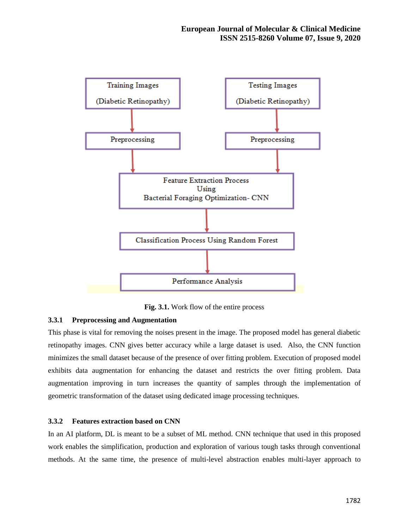

**Fig. 3.1.** Work flow of the entire process

## **3.3.1 Preprocessing and Augmentation**

This phase is vital for removing the noises present in the image. The proposed model has general diabetic retinopathy images. CNN gives better accuracy while a large dataset is used. Also, the CNN function minimizes the small dataset because of the presence of over fitting problem. Execution of proposed model exhibits data augmentation for enhancing the dataset and restricts the over fitting problem. Data augmentation improving in turn increases the quantity of samples through the implementation of geometric transformation of the dataset using dedicated image processing techniques.

### **3.3.2 Features extraction based on CNN**

In an AI platform, DL is meant to be a subset of ML method. CNN technique that used in this proposed work enables the simplification, production and exploration of various tough tasks through conventional methods. At the same time, the presence of multi-level abstraction enables multi-layer approach to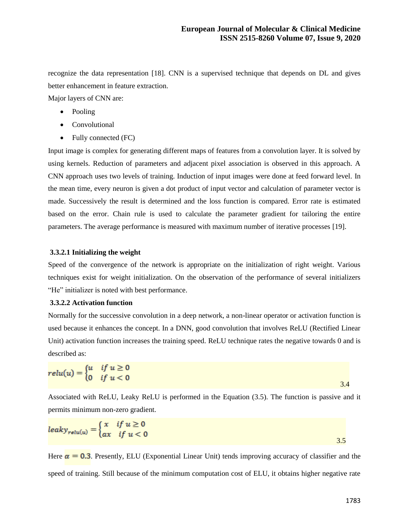recognize the data representation [18]. CNN is a supervised technique that depends on DL and gives better enhancement in feature extraction.

Major layers of CNN are:

- Pooling
- Convolutional
- Fully connected (FC)

Input image is complex for generating different maps of features from a convolution layer. It is solved by using kernels. Reduction of parameters and adjacent pixel association is observed in this approach. A CNN approach uses two levels of training. Induction of input images were done at feed forward level. In the mean time, every neuron is given a dot product of input vector and calculation of parameter vector is made. Successively the result is determined and the loss function is compared. Error rate is estimated based on the error. Chain rule is used to calculate the parameter gradient for tailoring the entire parameters. The average performance is measured with maximum number of iterative processes [19].

### **3.3.2.1 Initializing the weight**

Speed of the convergence of the network is appropriate on the initialization of right weight. Various techniques exist for weight initialization. On the observation of the performance of several initializers "He" initializer is noted with best performance.

### **3.3.2.2 Activation function**

Normally for the successive convolution in a deep network, a non-linear operator or activation function is used because it enhances the concept. In a DNN, good convolution that involves ReLU (Rectified Linear Unit) activation function increases the training speed. ReLU technique rates the negative towards 0 and is described as:

$$
relu(u) = \begin{cases} u & \text{if } u \ge 0 \\ 0 & \text{if } u < 0 \end{cases}
$$

Associated with ReLU, Leaky ReLU is performed in the Equation (3.5). The function is passive and it permits minimum non-zero gradient.

$$
leaky_{relu(u)} = \begin{cases} x & \text{if } u \ge 0 \\ ax & \text{if } u < 0 \end{cases}
$$

Here  $\alpha = 0.3$ . Presently, ELU (Exponential Linear Unit) tends improving accuracy of classifier and the speed of training. Still because of the minimum computation cost of ELU, it obtains higher negative rate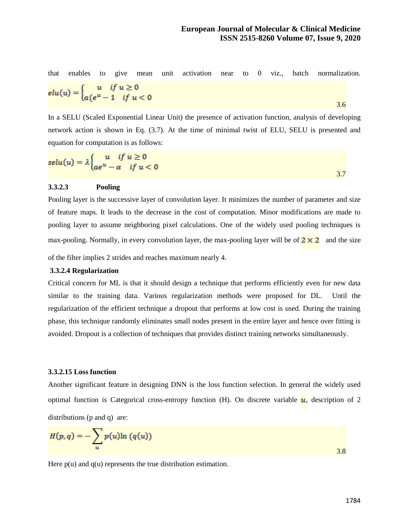that enables to give mean unit activation near to 0 viz., batch normalization.  $elu(u) = \left\{ \begin{aligned} u & \quad \text{if} \ u \geq 0 \\ a(e^u - 1) & \quad \text{if} \ u < 0 \end{aligned} \right.$ 3.6

In a SELU (Scaled Exponential Linear Unit) the presence of activation function, analysis of developing network action is shown in Eq. (3.7). At the time of minimal twist of ELU, SELU is presented and equation for computation is as follows:

$$
selu(u) = \lambda \begin{cases} u & \text{if } u \ge 0 \\ ae^u - a & \text{if } u < 0 \end{cases}
$$

### **3.3.2.3 Pooling**

Pooling layer is the successive layer of convolution layer. It minimizes the number of parameter and size of feature maps. It leads to the decrease in the cost of computation. Minor modifications are made to pooling layer to assume neighboring pixel calculations. One of the widely used pooling techniques is max-pooling. Normally, in every convolution layer, the max-pooling layer will be of  $2 \times 2$  and the size

of the filter implies 2 strides and reaches maximum nearly 4.

### **3.3.2.4 Regularization**

Critical concern for ML is that it should design a technique that performs efficiently even for new data similar to the training data. Various regularization methods were proposed for DL. Until the regularization of the efficient technique a dropout that performs at low cost is used. During the training phase, this technique randomly eliminates small nodes present in the entire layer and hence over fitting is avoided. Dropout is a collection of techniques that provides distinct training networks simultaneously.

#### **3.3.2.15 Loss function**

Another significant feature in designing DNN is the loss function selection. In general the widely used optimal function is Categorical cross-entropy function (H). On discrete variable  $\mu$ , description of 2 distributions (p and q) are:

$$
H(p,q) = -\sum_{u} p(u) \ln (q(u))
$$

Here  $p(u)$  and  $q(u)$  represents the true distribution estimation.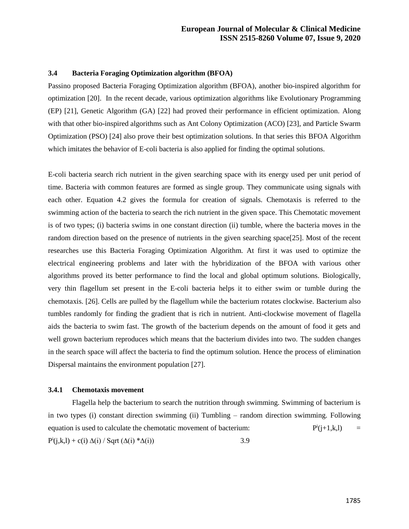### **3.4 Bacteria Foraging Optimization algorithm (BFOA)**

Passino proposed Bacteria Foraging Optimization algorithm (BFOA), another bio-inspired algorithm for optimization [20]. In the recent decade, various optimization algorithms like Evolutionary Programming (EP) [21], Genetic Algorithm (GA) [22] had proved their performance in efficient optimization. Along with that other bio-inspired algorithms such as Ant Colony Optimization (ACO) [23], and Particle Swarm Optimization (PSO) [24] also prove their best optimization solutions. In that series this BFOA Algorithm which imitates the behavior of E-coli bacteria is also applied for finding the optimal solutions.

E-coli bacteria search rich nutrient in the given searching space with its energy used per unit period of time. Bacteria with common features are formed as single group. They communicate using signals with each other. Equation 4.2 gives the formula for creation of signals. Chemotaxis is referred to the swimming action of the bacteria to search the rich nutrient in the given space. This Chemotatic movement is of two types; (i) bacteria swims in one constant direction (ii) tumble, where the bacteria moves in the random direction based on the presence of nutrients in the given searching space[25]. Most of the recent researches use this Bacteria Foraging Optimization Algorithm. At first it was used to optimize the electrical engineering problems and later with the hybridization of the BFOA with various other algorithms proved its better performance to find the local and global optimum solutions. Biologically, very thin flagellum set present in the E-coli bacteria helps it to either swim or tumble during the chemotaxis. [26]. Cells are pulled by the flagellum while the bacterium rotates clockwise. Bacterium also tumbles randomly for finding the gradient that is rich in nutrient. Anti-clockwise movement of flagella aids the bacteria to swim fast. The growth of the bacterium depends on the amount of food it gets and well grown bacterium reproduces which means that the bacterium divides into two. The sudden changes in the search space will affect the bacteria to find the optimum solution. Hence the process of elimination Dispersal maintains the environment population [27].

## **3.4.1 Chemotaxis movement**

Flagella help the bacterium to search the nutrition through swimming. Swimming of bacterium is in two types (i) constant direction swimming (ii) Tumbling – random direction swimming. Following equation is used to calculate the chemotatic movement of bacterium:  $i(j+1,k,1) =$  $P^{i}(j,k,l) + c(i) \Delta(i) / Sqrt(\Delta(i) * \Delta(i))$  3.9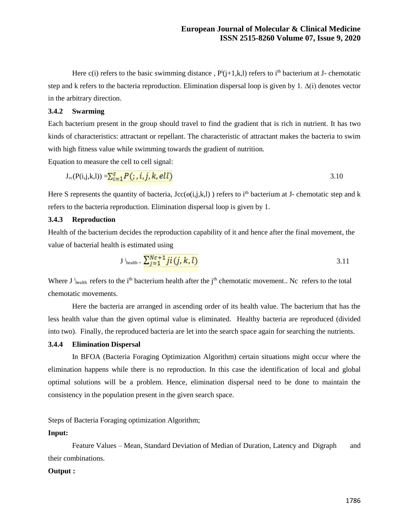Here  $c(i)$  refers to the basic swimming distance,  $P^i(j+1,k,l)$  refers to i<sup>th</sup> bacterium at J- chemotatic step and k refers to the bacteria reproduction. Elimination dispersal loop is given by 1. ∆(i) denotes vector in the arbitrary direction.

## **3.4.2 Swarming**

Each bacterium present in the group should travel to find the gradient that is rich in nutrient. It has two kinds of characteristics: attractant or repellant. The characteristic of attractant makes the bacteria to swim with high fitness value while swimming towards the gradient of nutrition.

Equation to measure the cell to cell signal:

$$
J_{cc}(P(i,j,k,l)) = \sum_{i=1}^{s} P(j,i,j,k,ell)
$$

Here S represents the quantity of bacteria,  $\text{Jcc}(\Theta(i,j,k,l))$  refers to i<sup>th</sup> bacterium at J- chemotatic step and k refers to the bacteria reproduction. Elimination dispersal loop is given by 1.

### **3.4.3 Reproduction**

Health of the bacterium decides the reproduction capability of it and hence after the final movement, the value of bacterial health is estimated using

$$
\mathbf{J} \mathbf{i}_{\text{health}} = \frac{\sum_{j=1}^{Nc+1} j i (j, k, l)}{3.11}
$$

Where  $J_i^i$ <sub>health</sub> refers to the i<sup>th</sup> bacterium health after the j<sup>th</sup> chemotatic movement.. Nc refers to the total chemotatic movements.

Here the bacteria are arranged in ascending order of its health value. The bacterium that has the less health value than the given optimal value is eliminated. Healthy bacteria are reproduced (divided into two). Finally, the reproduced bacteria are let into the search space again for searching the nutrients.

## **3.4.4 Elimination Dispersal**

In BFOA (Bacteria Foraging Optimization Algorithm) certain situations might occur where the elimination happens while there is no reproduction. In this case the identification of local and global optimal solutions will be a problem. Hence, elimination dispersal need to be done to maintain the consistency in the population present in the given search space.

## Steps of Bacteria Foraging optimization Algorithm;

#### **Input:**

Feature Values – Mean, Standard Deviation of Median of Duration, Latency and Digraph and their combinations.

### **Output :**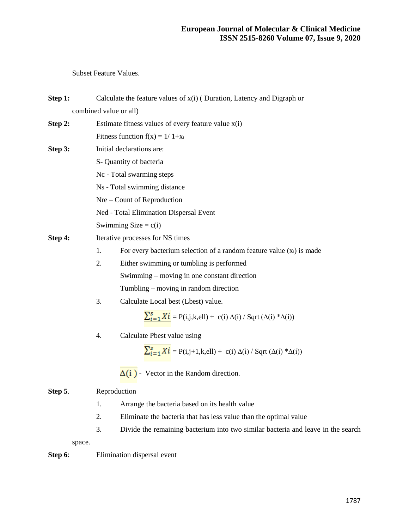Subset Feature Values.

| Step 1: | Calculate the feature values of $x(i)$ (Duration, Latency and Digraph or |                                                                                        |  |  |  |
|---------|--------------------------------------------------------------------------|----------------------------------------------------------------------------------------|--|--|--|
|         | combined value or all)                                                   |                                                                                        |  |  |  |
| Step 2: | Estimate fitness values of every feature value $x(i)$                    |                                                                                        |  |  |  |
|         |                                                                          | Fitness function $f(x) = 1/1+x_i$                                                      |  |  |  |
| Step 3: |                                                                          | Initial declarations are:                                                              |  |  |  |
|         | S- Quantity of bacteria                                                  |                                                                                        |  |  |  |
|         | Nc - Total swarming steps                                                |                                                                                        |  |  |  |
|         | Ns - Total swimming distance                                             |                                                                                        |  |  |  |
|         | Nre – Count of Reproduction                                              |                                                                                        |  |  |  |
|         | Ned - Total Elimination Dispersal Event                                  |                                                                                        |  |  |  |
|         | Swimming Size = $c(i)$                                                   |                                                                                        |  |  |  |
| Step 4: | Iterative processes for NS times                                         |                                                                                        |  |  |  |
|         | 1.                                                                       | For every bacterium selection of a random feature value $(x_i)$ is made                |  |  |  |
|         | 2.                                                                       | Either swimming or tumbling is performed                                               |  |  |  |
|         |                                                                          | Swimming – moving in one constant direction                                            |  |  |  |
|         |                                                                          | Tumbling – moving in random direction                                                  |  |  |  |
|         | 3.                                                                       | Calculate Local best (Lbest) value.                                                    |  |  |  |
|         |                                                                          | $\sum_{i=1}^{s} X_i^i = P(i,j,k,ell) + c(i) \Delta(i) / Sqrt(\Delta(i) * \Delta(i))$   |  |  |  |
|         | Calculate Pbest value using<br>4.                                        |                                                                                        |  |  |  |
|         |                                                                          | $\sum_{i=1}^{s} X_i^i = P(i,j+1,k,ell) + c(i) \Delta(i) / Sqrt(\Delta(i) * \Delta(i))$ |  |  |  |
|         |                                                                          | $\Delta(i)$ - Vector in the Random direction.                                          |  |  |  |
| Step 5. | Reproduction                                                             |                                                                                        |  |  |  |
|         | 1.                                                                       | Arrange the bacteria based on its health value                                         |  |  |  |
|         | 2.                                                                       | Eliminate the bacteria that has less value than the optimal value                      |  |  |  |
|         | 3.                                                                       | Divide the remaining bacterium into two similar bacteria and leave in the search       |  |  |  |

space.

# **Step 6:** Elimination dispersal event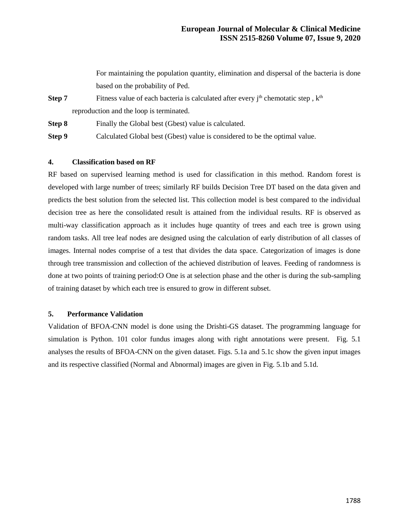For maintaining the population quantity, elimination and dispersal of the bacteria is done based on the probability of Ped.

**Step 7** Fitness value of each bacteria is calculated after every  $j<sup>th</sup>$  chemotatic step,  $k<sup>th</sup>$ reproduction and the loop is terminated.

**Step 8** Finally the Global best (Gbest) value is calculated.

**Step 9** Calculated Global best (Gbest) value is considered to be the optimal value.

## **4. Classification based on RF**

RF based on supervised learning method is used for classification in this method. Random forest is developed with large number of trees; similarly RF builds Decision Tree DT based on the data given and predicts the best solution from the selected list. This collection model is best compared to the individual decision tree as here the consolidated result is attained from the individual results. RF is observed as multi-way classification approach as it includes huge quantity of trees and each tree is grown using random tasks. All tree leaf nodes are designed using the calculation of early distribution of all classes of images. Internal nodes comprise of a test that divides the data space. Categorization of images is done through tree transmission and collection of the achieved distribution of leaves. Feeding of randomness is done at two points of training period:O One is at selection phase and the other is during the sub-sampling of training dataset by which each tree is ensured to grow in different subset.

### **5. Performance Validation**

Validation of BFOA-CNN model is done using the Drishti-GS dataset. The programming language for simulation is Python. 101 color fundus images along with right annotations were present. Fig. 5.1 analyses the results of BFOA-CNN on the given dataset. Figs. 5.1a and 5.1c show the given input images and its respective classified (Normal and Abnormal) images are given in Fig. 5.1b and 5.1d.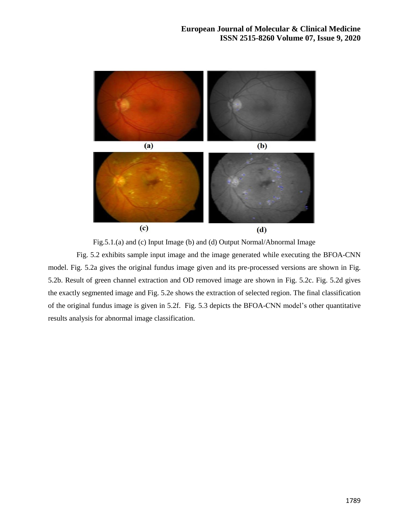

Fig.5.1.(a) and (c) Input Image (b) and (d) Output Normal/Abnormal Image

Fig. 5.2 exhibits sample input image and the image generated while executing the BFOA-CNN model. Fig. 5.2a gives the original fundus image given and its pre-processed versions are shown in Fig. 5.2b. Result of green channel extraction and OD removed image are shown in Fig. 5.2c. Fig. 5.2d gives the exactly segmented image and Fig. 5.2e shows the extraction of selected region. The final classification of the original fundus image is given in 5.2f. Fig. 5.3 depicts the BFOA-CNN model's other quantitative results analysis for abnormal image classification.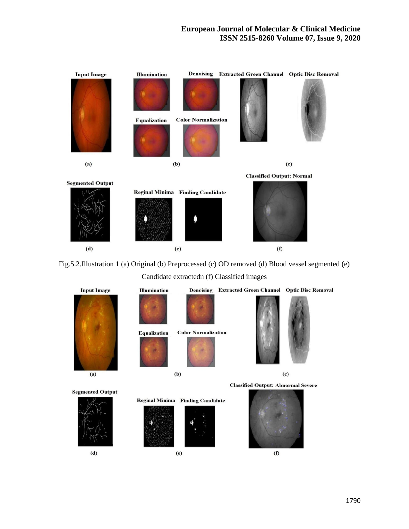## **European Journal of Molecular & Clinical Medicine ISSN 2515-8260 Volume 07, Issue 9, 2020**



Fig.5.2.Illustration 1 (a) Original (b) Preprocessed (c) OD removed (d) Blood vessel segmented (e)

Candidate extractedn (f) Classified images

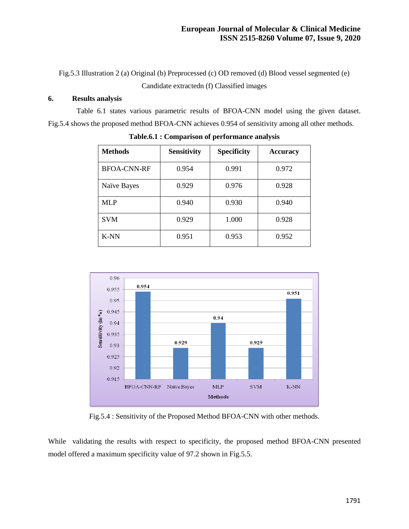Fig.5.3 Illustration 2 (a) Original (b) Preprocessed (c) OD removed (d) Blood vessel segmented (e) Candidate extractedn (f) Classified images

## **6. Results analysis**

Table 6.1 states various parametric results of BFOA-CNN model using the given dataset. Fig.5.4 shows the proposed method BFOA-CNN achieves 0.954 of sensitivity among all other methods.

| <b>Methods</b>     | <b>Sensitivity</b> | <b>Specificity</b> | <b>Accuracy</b> |
|--------------------|--------------------|--------------------|-----------------|
| <b>BFOA-CNN-RF</b> | 0.954              | 0.991              | 0.972           |
| Naïve Bayes        | 0.929              | 0.976              | 0.928           |
| MLP                | 0.940              | 0.930              | 0.940           |
| <b>SVM</b>         | 0.929              | 1.000              | 0.928           |
| K-NN               | 0.951              | 0.953              | 0.952           |

**Table.6.1 : Comparison of performance analysis** 



Fig.5.4 : Sensitivity of the Proposed Method BFOA-CNN with other methods.

While validating the results with respect to specificity, the proposed method BFOA-CNN presented model offered a maximum specificity value of 97.2 shown in Fig.5.5.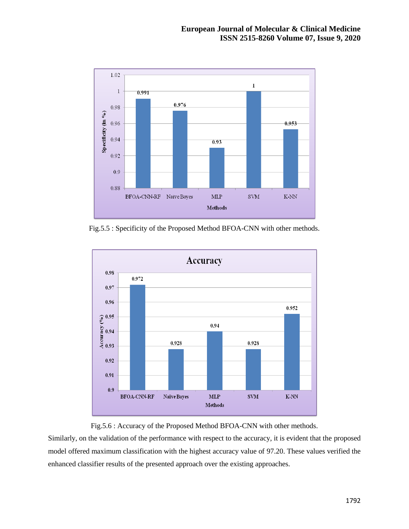

Fig.5.5 : Specificity of the Proposed Method BFOA-CNN with other methods.





Similarly, on the validation of the performance with respect to the accuracy, it is evident that the proposed model offered maximum classification with the highest accuracy value of 97.20. These values verified the enhanced classifier results of the presented approach over the existing approaches.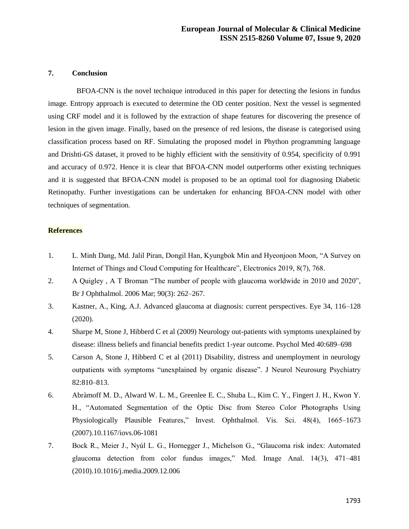### **7. Conclusion**

BFOA-CNN is the novel technique introduced in this paper for detecting the lesions in fundus image. Entropy approach is executed to determine the OD center position. Next the vessel is segmented using CRF model and it is followed by the extraction of shape features for discovering the presence of lesion in the given image. Finally, based on the presence of red lesions, the disease is categorised using classification process based on RF. Simulating the proposed model in Phython programming language and Drishti-GS dataset, it proved to be highly efficient with the sensitivity of 0.954, specificity of 0.991 and accuracy of 0.972. Hence it is clear that BFOA-CNN model outperforms other existing techniques and it is suggested that BFOA-CNN model is proposed to be an optimal tool for diagnosing Diabetic Retinopathy. Further investigations can be undertaken for enhancing BFOA-CNN model with other techniques of segmentation.

### **References**

- 1. L. Minh Dang, Md. Jalil Piran, Dongil Han, Kyungbok Min and Hyeonjoon Moon, "A Survey on Internet of Things and Cloud Computing for Healthcare", Electronics 2019, 8(7), 768.
- 2. A Quigley , A T Broman "The number of people with glaucoma worldwide in 2010 and 2020", Br J Ophthalmol. 2006 Mar; 90(3): 262–267.
- 3. Kastner, A., King, A.J. Advanced glaucoma at diagnosis: current perspectives. Eye 34, 116–128 (2020).
- 4. Sharpe M, Stone J, Hibberd C et al (2009) Neurology out-patients with symptoms unexplained by disease: illness beliefs and financial benefits predict 1-year outcome. Psychol Med 40:689–698
- 5. Carson A, Stone J, Hibberd C et al (2011) Disability, distress and unemployment in neurology outpatients with symptoms "unexplained by organic disease". J Neurol Neurosurg Psychiatry 82:810–813.
- 6. Abràmoff M. D., Alward W. L. M., Greenlee E. C., Shuba L., Kim C. Y., Fingert J. H., Kwon Y. H., "Automated Segmentation of the Optic Disc from Stereo Color Photographs Using Physiologically Plausible Features," Invest. Ophthalmol. Vis. Sci. 48(4), 1665–1673 (2007).10.1167/iovs.06-1081
- 7. Bock R., Meier J., Nyúl L. G., Hornegger J., Michelson G., "Glaucoma risk index: Automated glaucoma detection from color fundus images," Med. Image Anal. 14(3), 471–481 (2010).10.1016/j.media.2009.12.006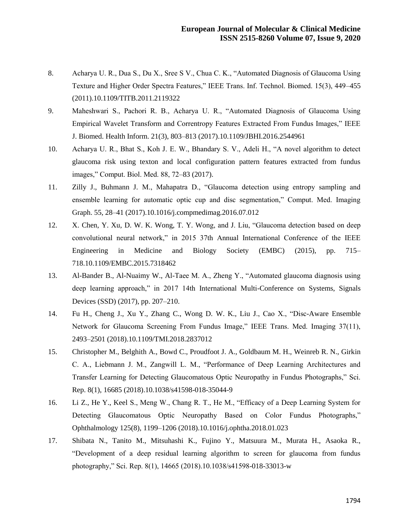- 8. Acharya U. R., Dua S., Du X., Sree S V., Chua C. K., "Automated Diagnosis of Glaucoma Using Texture and Higher Order Spectra Features," IEEE Trans. Inf. Technol. Biomed. 15(3), 449–455 (2011).10.1109/TITB.2011.2119322
- 9. Maheshwari S., Pachori R. B., Acharya U. R., "Automated Diagnosis of Glaucoma Using Empirical Wavelet Transform and Correntropy Features Extracted From Fundus Images," IEEE J. Biomed. Health Inform. 21(3), 803–813 (2017).10.1109/JBHI.2016.2544961
- 10. Acharya U. R., Bhat S., Koh J. E. W., Bhandary S. V., Adeli H., "A novel algorithm to detect glaucoma risk using texton and local configuration pattern features extracted from fundus images," Comput. Biol. Med. 88, 72–83 (2017).
- 11. Zilly J., Buhmann J. M., Mahapatra D., "Glaucoma detection using entropy sampling and ensemble learning for automatic optic cup and disc segmentation," Comput. Med. Imaging Graph. 55, 28–41 (2017).10.1016/j.compmedimag.2016.07.012
- 12. X. Chen, Y. Xu, D. W. K. Wong, T. Y. Wong, and J. Liu, "Glaucoma detection based on deep convolutional neural network," in 2015 37th Annual International Conference of the IEEE Engineering in Medicine and Biology Society (EMBC) (2015), pp. 715– 718.10.1109/EMBC.2015.7318462
- 13. Al-Bander B., Al-Nuaimy W., Al-Taee M. A., Zheng Y., "Automated glaucoma diagnosis using deep learning approach," in 2017 14th International Multi-Conference on Systems, Signals Devices (SSD) (2017), pp. 207–210.
- 14. Fu H., Cheng J., Xu Y., Zhang C., Wong D. W. K., Liu J., Cao X., "Disc-Aware Ensemble Network for Glaucoma Screening From Fundus Image," IEEE Trans. Med. Imaging 37(11), 2493–2501 (2018).10.1109/TMI.2018.2837012
- 15. Christopher M., Belghith A., Bowd C., Proudfoot J. A., Goldbaum M. H., Weinreb R. N., Girkin C. A., Liebmann J. M., Zangwill L. M., "Performance of Deep Learning Architectures and Transfer Learning for Detecting Glaucomatous Optic Neuropathy in Fundus Photographs," Sci. Rep. 8(1), 16685 (2018).10.1038/s41598-018-35044-9
- 16. Li Z., He Y., Keel S., Meng W., Chang R. T., He M., "Efficacy of a Deep Learning System for Detecting Glaucomatous Optic Neuropathy Based on Color Fundus Photographs," Ophthalmology 125(8), 1199–1206 (2018).10.1016/j.ophtha.2018.01.023
- 17. Shibata N., Tanito M., Mitsuhashi K., Fujino Y., Matsuura M., Murata H., Asaoka R., "Development of a deep residual learning algorithm to screen for glaucoma from fundus photography," Sci. Rep. 8(1), 14665 (2018).10.1038/s41598-018-33013-w